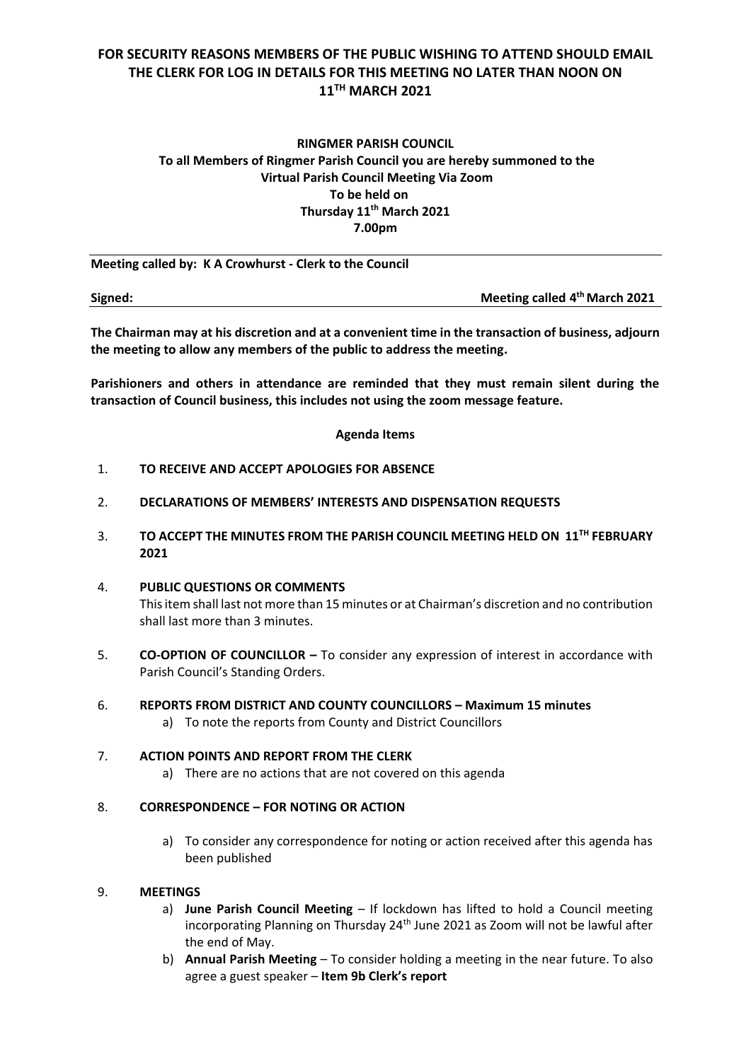# **FOR SECURITY REASONS MEMBERS OF THE PUBLIC WISHING TO ATTEND SHOULD EMAIL THE CLERK FOR LOG IN DETAILS FOR THIS MEETING NO LATER THAN NOON ON 11 TH MARCH 2021**

## **RINGMER PARISH COUNCIL To all Members of Ringmer Parish Council you are hereby summoned to the Virtual Parish Council Meeting Via Zoom To be held on Thursday 11 th March 2021 7.00pm**

**Meeting called by: K A Crowhurst - Clerk to the Council** 

**Signed: Meeting called 4 th March 2021**

**The Chairman may at his discretion and at a convenient time in the transaction of business, adjourn the meeting to allow any members of the public to address the meeting.**

**Parishioners and others in attendance are reminded that they must remain silent during the transaction of Council business, this includes not using the zoom message feature.**

#### **Agenda Items**

- 1. **TO RECEIVE AND ACCEPT APOLOGIES FOR ABSENCE**
- 2. **DECLARATIONS OF MEMBERS' INTERESTS AND DISPENSATION REQUESTS**
- 3. **TO ACCEPT THE MINUTES FROM THE PARISH COUNCIL MEETING HELD ON 11TH FEBRUARY 2021**
- 4. **PUBLIC QUESTIONS OR COMMENTS**  This item shall last not more than 15 minutes or at Chairman's discretion and no contribution shall last more than 3 minutes.
- 5. **CO-OPTION OF COUNCILLOR –** To consider any expression of interest in accordance with Parish Council's Standing Orders.
- 6. **REPORTS FROM DISTRICT AND COUNTY COUNCILLORS – Maximum 15 minutes** a) To note the reports from County and District Councillors
- 7. **ACTION POINTS AND REPORT FROM THE CLERK** a) There are no actions that are not covered on this agenda

- 8. **CORRESPONDENCE – FOR NOTING OR ACTION**
	- a) To consider any correspondence for noting or action received after this agenda has been published

#### 9. **MEETINGS**

- a) **June Parish Council Meeting** If lockdown has lifted to hold a Council meeting incorporating Planning on Thursday 24<sup>th</sup> June 2021 as Zoom will not be lawful after the end of May.
- b) **Annual Parish Meeting** To consider holding a meeting in the near future. To also agree a guest speaker – **Item 9b Clerk's report**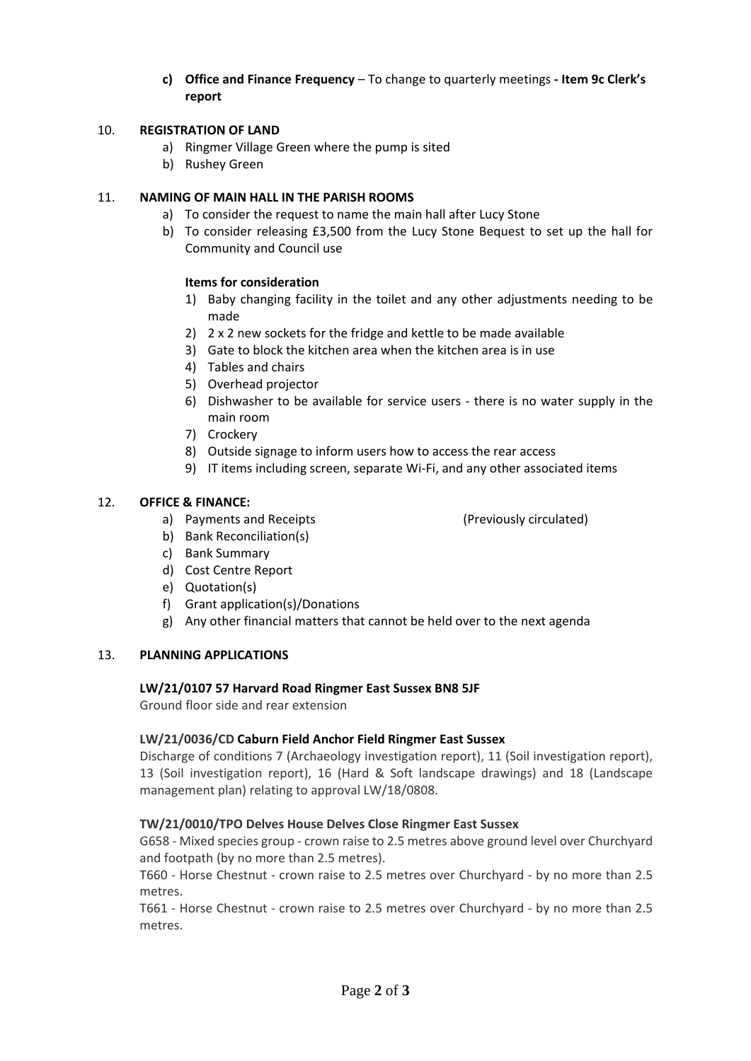### **c) Office and Finance Frequency** – To change to quarterly meetings **- Item 9c Clerk's report**

#### 10. **REGISTRATION OF LAND**

- a) Ringmer Village Green where the pump is sited
- b) Rushey Green

#### 11. **NAMING OF MAIN HALL IN THE PARISH ROOMS**

- a) To consider the request to name the main hall after Lucy Stone
- b) To consider releasing £3,500 from the Lucy Stone Bequest to set up the hall for Community and Council use

## **Items for consideration**

- 1) Baby changing facility in the toilet and any other adjustments needing to be made
- 2) 2 x 2 new sockets for the fridge and kettle to be made available
- 3) Gate to block the kitchen area when the kitchen area is in use
- 4) Tables and chairs
- 5) Overhead projector
- 6) Dishwasher to be available for service users there is no water supply in the main room
- 7) Crockery
- 8) Outside signage to inform users how to access the rear access
- 9) IT items including screen, separate Wi-Fi, and any other associated items

## 12. **OFFICE & FINANCE:**

- a) Payments and Receipts (Previously circulated)
- b) Bank Reconciliation(s)
- c) Bank Summary
- d) Cost Centre Report
- e) Quotation(s)
- f) Grant application(s)/Donations
- g) Any other financial matters that cannot be held over to the next agenda

## 13. **PLANNING APPLICATIONS**

## **LW/21/0107 57 Harvard Road Ringmer East Sussex BN8 5JF**

Ground floor side and rear extension

## **LW/21/0036/CD Caburn Field Anchor Field Ringmer East Sussex**

Discharge of conditions 7 (Archaeology investigation report), 11 (Soil investigation report), 13 (Soil investigation report), 16 (Hard & Soft landscape drawings) and 18 (Landscape management plan) relating to approval LW/18/0808.

## **TW/21/0010/TPO Delves House Delves Close Ringmer East Sussex**

G658 - Mixed species group - crown raise to 2.5 metres above ground level over Churchyard and footpath (by no more than 2.5 metres).

T660 - Horse Chestnut - crown raise to 2.5 metres over Churchyard - by no more than 2.5 metres.

T661 - Horse Chestnut - crown raise to 2.5 metres over Churchyard - by no more than 2.5 metres.